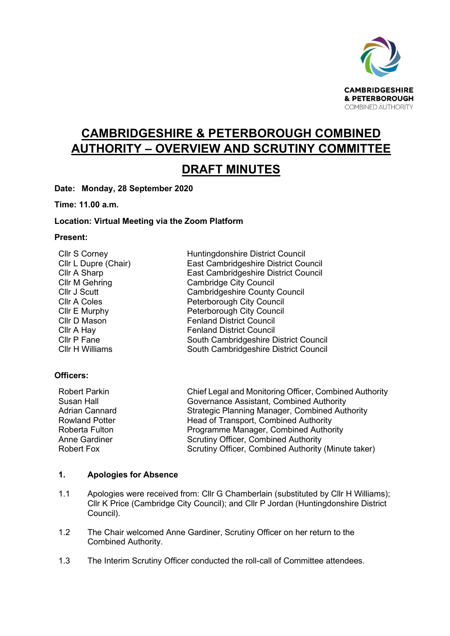

# **CAMBRIDGESHIRE & PETERBOROUGH COMBINED AUTHORITY – OVERVIEW AND SCRUTINY COMMITTEE**

# **DRAFT MINUTES**

**Date: Monday, 28 September 2020**

**Time: 11.00 a.m.** 

# **Location: Virtual Meeting via the Zoom Platform**

### **Present:**

| <b>Cllr S Corney</b>  | Huntingdonshire District Council      |
|-----------------------|---------------------------------------|
| Cllr L Dupre (Chair)  | East Cambridgeshire District Council  |
| Cllr A Sharp          | East Cambridgeshire District Council  |
| <b>Cllr M Gehring</b> | <b>Cambridge City Council</b>         |
| Cllr J Scutt          | <b>Cambridgeshire County Council</b>  |
| <b>CIIr A Coles</b>   | Peterborough City Council             |
| Cllr E Murphy         | Peterborough City Council             |
| Cllr D Mason          | <b>Fenland District Council</b>       |
| Cllr A Hay            | <b>Fenland District Council</b>       |
| Cllr P Fane           | South Cambridgeshire District Council |
| Cllr H Williams       | South Cambridgeshire District Council |

# **Officers:**

| <b>Robert Parkin</b>  | Chief Legal and Monitoring Officer, Combined Authority |
|-----------------------|--------------------------------------------------------|
| Susan Hall            | Governance Assistant, Combined Authority               |
| <b>Adrian Cannard</b> | <b>Strategic Planning Manager, Combined Authority</b>  |
| <b>Rowland Potter</b> | Head of Transport, Combined Authority                  |
| Roberta Fulton        | Programme Manager, Combined Authority                  |
| Anne Gardiner         | <b>Scrutiny Officer, Combined Authority</b>            |
| Robert Fox            | Scrutiny Officer, Combined Authority (Minute taker)    |

### **1. Apologies for Absence**

- 1.1 Apologies were received from: Cllr G Chamberlain (substituted by Cllr H Williams); Cllr K Price (Cambridge City Council); and Cllr P Jordan (Huntingdonshire District Council).
- 1.2 The Chair welcomed Anne Gardiner, Scrutiny Officer on her return to the Combined Authority.
- 1.3 The Interim Scrutiny Officer conducted the roll-call of Committee attendees.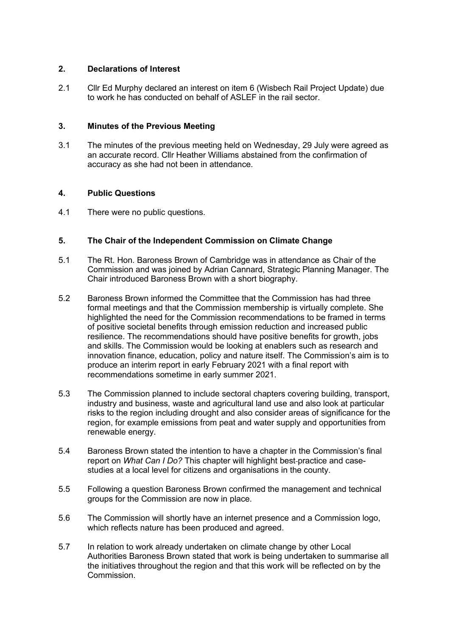# **2. Declarations of Interest**

2.1 Cllr Ed Murphy declared an interest on item 6 (Wisbech Rail Project Update) due to work he has conducted on behalf of ASLEF in the rail sector.

# **3. Minutes of the Previous Meeting**

3.1 The minutes of the previous meeting held on Wednesday, 29 July were agreed as an accurate record. Cllr Heather Williams abstained from the confirmation of accuracy as she had not been in attendance.

#### **4. Public Questions**

4.1 There were no public questions.

# **5. The Chair of the Independent Commission on Climate Change**

- 5.1 The Rt. Hon. Baroness Brown of Cambridge was in attendance as Chair of the Commission and was joined by Adrian Cannard, Strategic Planning Manager. The Chair introduced Baroness Brown with a short biography.
- 5.2 Baroness Brown informed the Committee that the Commission has had three formal meetings and that the Commission membership is virtually complete. She highlighted the need for the Commission recommendations to be framed in terms of positive societal benefits through emission reduction and increased public resilience. The recommendations should have positive benefits for growth, jobs and skills. The Commission would be looking at enablers such as research and innovation finance, education, policy and nature itself. The Commission's aim is to produce an interim report in early February 2021 with a final report with recommendations sometime in early summer 2021.
- 5.3 The Commission planned to include sectoral chapters covering building, transport, industry and business, waste and agricultural land use and also look at particular risks to the region including drought and also consider areas of significance for the region, for example emissions from peat and water supply and opportunities from renewable energy.
- 5.4 Baroness Brown stated the intention to have a chapter in the Commission's final report on *What Can I Do?* This chapter will highlight best-practice and casestudies at a local level for citizens and organisations in the county.
- 5.5 Following a question Baroness Brown confirmed the management and technical groups for the Commission are now in place.
- 5.6 The Commission will shortly have an internet presence and a Commission logo, which reflects nature has been produced and agreed.
- 5.7 In relation to work already undertaken on climate change by other Local Authorities Baroness Brown stated that work is being undertaken to summarise all the initiatives throughout the region and that this work will be reflected on by the **Commission**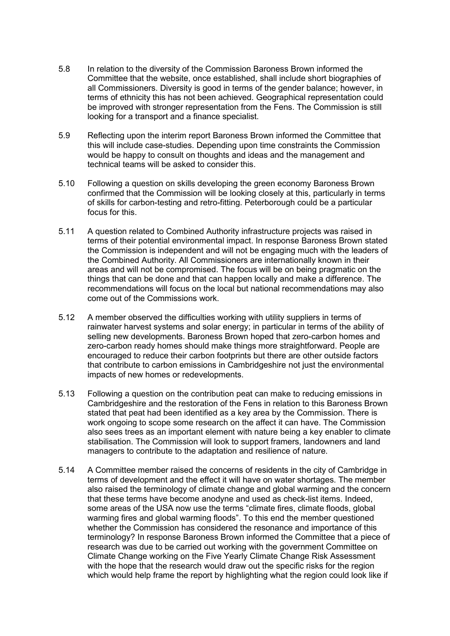- 5.8 In relation to the diversity of the Commission Baroness Brown informed the Committee that the website, once established, shall include short biographies of all Commissioners. Diversity is good in terms of the gender balance; however, in terms of ethnicity this has not been achieved. Geographical representation could be improved with stronger representation from the Fens. The Commission is still looking for a transport and a finance specialist.
- 5.9 Reflecting upon the interim report Baroness Brown informed the Committee that this will include case-studies. Depending upon time constraints the Commission would be happy to consult on thoughts and ideas and the management and technical teams will be asked to consider this.
- 5.10 Following a question on skills developing the green economy Baroness Brown confirmed that the Commission will be looking closely at this, particularly in terms of skills for carbon-testing and retro-fitting. Peterborough could be a particular focus for this.
- 5.11 A question related to Combined Authority infrastructure projects was raised in terms of their potential environmental impact. In response Baroness Brown stated the Commission is independent and will not be engaging much with the leaders of the Combined Authority. All Commissioners are internationally known in their areas and will not be compromised. The focus will be on being pragmatic on the things that can be done and that can happen locally and make a difference. The recommendations will focus on the local but national recommendations may also come out of the Commissions work.
- 5.12 A member observed the difficulties working with utility suppliers in terms of rainwater harvest systems and solar energy; in particular in terms of the ability of selling new developments. Baroness Brown hoped that zero-carbon homes and zero-carbon ready homes should make things more straightforward. People are encouraged to reduce their carbon footprints but there are other outside factors that contribute to carbon emissions in Cambridgeshire not just the environmental impacts of new homes or redevelopments.
- 5.13 Following a question on the contribution peat can make to reducing emissions in Cambridgeshire and the restoration of the Fens in relation to this Baroness Brown stated that peat had been identified as a key area by the Commission. There is work ongoing to scope some research on the affect it can have. The Commission also sees trees as an important element with nature being a key enabler to climate stabilisation. The Commission will look to support framers, landowners and land managers to contribute to the adaptation and resilience of nature.
- 5.14 A Committee member raised the concerns of residents in the city of Cambridge in terms of development and the effect it will have on water shortages. The member also raised the terminology of climate change and global warming and the concern that these terms have become anodyne and used as check-list items. Indeed, some areas of the USA now use the terms "climate fires, climate floods, global warming fires and global warming floods". To this end the member questioned whether the Commission has considered the resonance and importance of this terminology? In response Baroness Brown informed the Committee that a piece of research was due to be carried out working with the government Committee on Climate Change working on the Five Yearly Climate Change Risk Assessment with the hope that the research would draw out the specific risks for the region which would help frame the report by highlighting what the region could look like if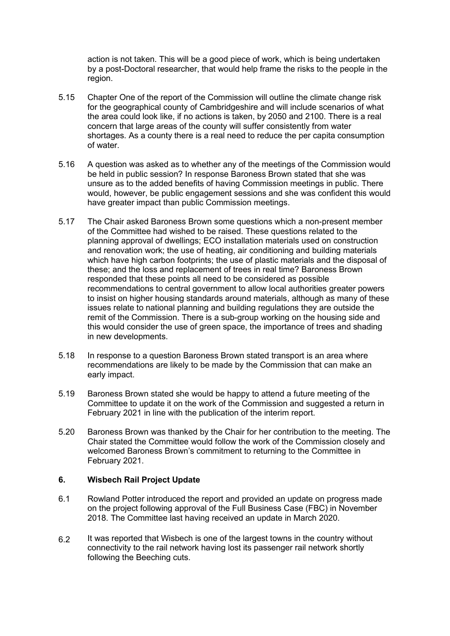action is not taken. This will be a good piece of work, which is being undertaken by a post-Doctoral researcher, that would help frame the risks to the people in the region.

- 5.15 Chapter One of the report of the Commission will outline the climate change risk for the geographical county of Cambridgeshire and will include scenarios of what the area could look like, if no actions is taken, by 2050 and 2100. There is a real concern that large areas of the county will suffer consistently from water shortages. As a county there is a real need to reduce the per capita consumption of water.
- 5.16 A question was asked as to whether any of the meetings of the Commission would be held in public session? In response Baroness Brown stated that she was unsure as to the added benefits of having Commission meetings in public. There would, however, be public engagement sessions and she was confident this would have greater impact than public Commission meetings.
- 5.17 The Chair asked Baroness Brown some questions which a non-present member of the Committee had wished to be raised. These questions related to the planning approval of dwellings; ECO installation materials used on construction and renovation work; the use of heating, air conditioning and building materials which have high carbon footprints; the use of plastic materials and the disposal of these; and the loss and replacement of trees in real time? Baroness Brown responded that these points all need to be considered as possible recommendations to central government to allow local authorities greater powers to insist on higher housing standards around materials, although as many of these issues relate to national planning and building regulations they are outside the remit of the Commission. There is a sub-group working on the housing side and this would consider the use of green space, the importance of trees and shading in new developments.
- 5.18 In response to a question Baroness Brown stated transport is an area where recommendations are likely to be made by the Commission that can make an early impact.
- 5.19 Baroness Brown stated she would be happy to attend a future meeting of the Committee to update it on the work of the Commission and suggested a return in February 2021 in line with the publication of the interim report.
- 5.20 Baroness Brown was thanked by the Chair for her contribution to the meeting. The Chair stated the Committee would follow the work of the Commission closely and welcomed Baroness Brown's commitment to returning to the Committee in February 2021.

# **6. Wisbech Rail Project Update**

- 6.1 Rowland Potter introduced the report and provided an update on progress made on the project following approval of the Full Business Case (FBC) in November 2018. The Committee last having received an update in March 2020.
- 6.2 It was reported that Wisbech is one of the largest towns in the country without connectivity to the rail network having lost its passenger rail network shortly following the Beeching cuts.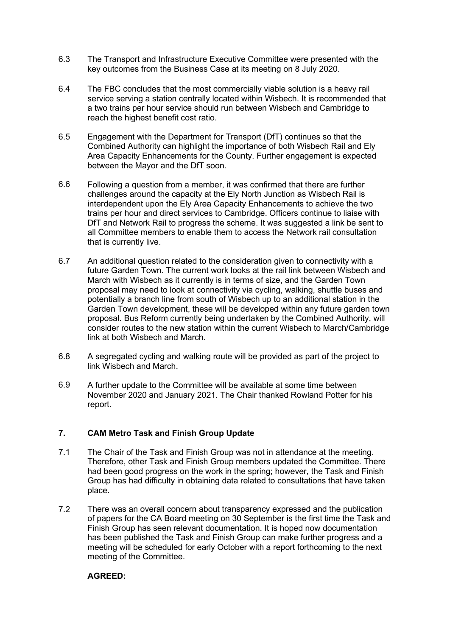- 6.3 The Transport and Infrastructure Executive Committee were presented with the key outcomes from the Business Case at its meeting on 8 July 2020.
- 6.4 The FBC concludes that the most commercially viable solution is a heavy rail service serving a station centrally located within Wisbech. It is recommended that a two trains per hour service should run between Wisbech and Cambridge to reach the highest benefit cost ratio.
- 6.5 Engagement with the Department for Transport (DfT) continues so that the Combined Authority can highlight the importance of both Wisbech Rail and Ely Area Capacity Enhancements for the County. Further engagement is expected between the Mayor and the DfT soon.
- 6.6 Following a question from a member, it was confirmed that there are further challenges around the capacity at the Ely North Junction as Wisbech Rail is interdependent upon the Ely Area Capacity Enhancements to achieve the two trains per hour and direct services to Cambridge. Officers continue to liaise with DfT and Network Rail to progress the scheme. It was suggested a link be sent to all Committee members to enable them to access the Network rail consultation that is currently live.
- 6.7 An additional question related to the consideration given to connectivity with a future Garden Town. The current work looks at the rail link between Wisbech and March with Wisbech as it currently is in terms of size, and the Garden Town proposal may need to look at connectivity via cycling, walking, shuttle buses and potentially a branch line from south of Wisbech up to an additional station in the Garden Town development, these will be developed within any future garden town proposal. Bus Reform currently being undertaken by the Combined Authority, will consider routes to the new station within the current Wisbech to March/Cambridge link at both Wisbech and March.
- 6.8 A segregated cycling and walking route will be provided as part of the project to link Wisbech and March.
- 6.9 A further update to the Committee will be available at some time between November 2020 and January 2021. The Chair thanked Rowland Potter for his report.

# **7. CAM Metro Task and Finish Group Update**

- 7.1 The Chair of the Task and Finish Group was not in attendance at the meeting. Therefore, other Task and Finish Group members updated the Committee. There had been good progress on the work in the spring; however, the Task and Finish Group has had difficulty in obtaining data related to consultations that have taken place.
- 7.2 There was an overall concern about transparency expressed and the publication of papers for the CA Board meeting on 30 September is the first time the Task and Finish Group has seen relevant documentation. It is hoped now documentation has been published the Task and Finish Group can make further progress and a meeting will be scheduled for early October with a report forthcoming to the next meeting of the Committee.

# **AGREED:**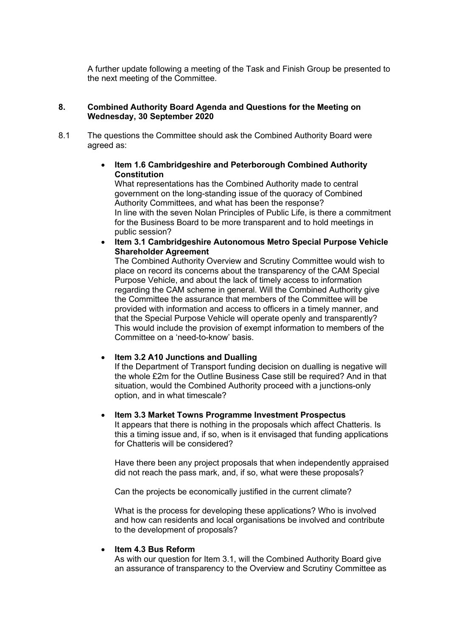A further update following a meeting of the Task and Finish Group be presented to the next meeting of the Committee.

### **8. Combined Authority Board Agenda and Questions for the Meeting on Wednesday, 30 September 2020**

8.1 The questions the Committee should ask the Combined Authority Board were agreed as:

# • **Item 1.6 Cambridgeshire and Peterborough Combined Authority Constitution**

What representations has the Combined Authority made to central government on the long-standing issue of the quoracy of Combined Authority Committees, and what has been the response? In line with the seven Nolan Principles of Public Life, is there a commitment for the Business Board to be more transparent and to hold meetings in public session?

• **Item 3.1 Cambridgeshire Autonomous Metro Special Purpose Vehicle Shareholder Agreement** 

The Combined Authority Overview and Scrutiny Committee would wish to place on record its concerns about the transparency of the CAM Special Purpose Vehicle, and about the lack of timely access to information regarding the CAM scheme in general. Will the Combined Authority give the Committee the assurance that members of the Committee will be provided with information and access to officers in a timely manner, and that the Special Purpose Vehicle will operate openly and transparently? This would include the provision of exempt information to members of the Committee on a 'need-to-know' basis.

# • **Item 3.2 A10 Junctions and Dualling**

If the Department of Transport funding decision on dualling is negative will the whole £2m for the Outline Business Case still be required? And in that situation, would the Combined Authority proceed with a junctions-only option, and in what timescale?

### • **Item 3.3 Market Towns Programme Investment Prospectus**

It appears that there is nothing in the proposals which affect Chatteris. Is this a timing issue and, if so, when is it envisaged that funding applications for Chatteris will be considered?

Have there been any project proposals that when independently appraised did not reach the pass mark, and, if so, what were these proposals?

Can the projects be economically justified in the current climate?

What is the process for developing these applications? Who is involved and how can residents and local organisations be involved and contribute to the development of proposals?

### • **Item 4.3 Bus Reform**

As with our question for Item 3.1, will the Combined Authority Board give an assurance of transparency to the Overview and Scrutiny Committee as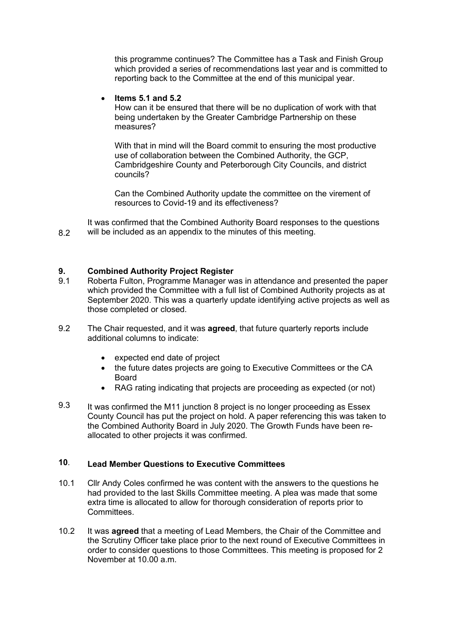this programme continues? The Committee has a Task and Finish Group which provided a series of recommendations last year and is committed to reporting back to the Committee at the end of this municipal year.

# • **Items 5.1 and 5.2**

How can it be ensured that there will be no duplication of work with that being undertaken by the Greater Cambridge Partnership on these measures?

With that in mind will the Board commit to ensuring the most productive use of collaboration between the Combined Authority, the GCP, Cambridgeshire County and Peterborough City Councils, and district councils?

Can the Combined Authority update the committee on the virement of resources to Covid-19 and its effectiveness?

8.2 It was confirmed that the Combined Authority Board responses to the questions will be included as an appendix to the minutes of this meeting.

#### **9. Combined Authority Project Register**

- 9.1 Roberta Fulton, Programme Manager was in attendance and presented the paper which provided the Committee with a full list of Combined Authority projects as at September 2020. This was a quarterly update identifying active projects as well as those completed or closed.
- 9.2 The Chair requested, and it was **agreed**, that future quarterly reports include additional columns to indicate:
	- expected end date of project
	- the future dates projects are going to Executive Committees or the CA Board
	- RAG rating indicating that projects are proceeding as expected (or not)
- 9.3 It was confirmed the M11 junction 8 project is no longer proceeding as Essex County Council has put the project on hold. A paper referencing this was taken to the Combined Authority Board in July 2020. The Growth Funds have been reallocated to other projects it was confirmed.

### **10**. **Lead Member Questions to Executive Committees**

- 10.1 Cllr Andy Coles confirmed he was content with the answers to the questions he had provided to the last Skills Committee meeting. A plea was made that some extra time is allocated to allow for thorough consideration of reports prior to **Committees**
- 10.2 It was **agreed** that a meeting of Lead Members, the Chair of the Committee and the Scrutiny Officer take place prior to the next round of Executive Committees in order to consider questions to those Committees. This meeting is proposed for 2 November at 10.00 a.m.